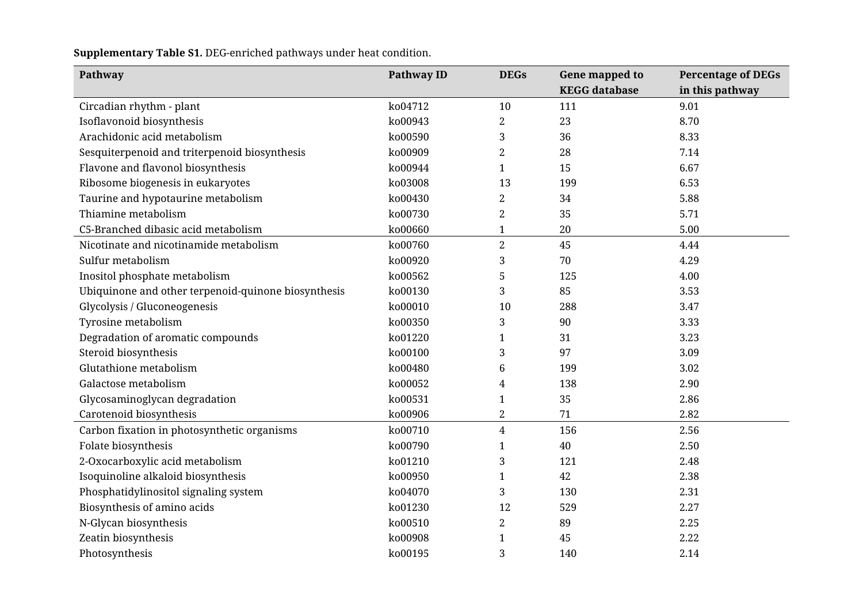**Supplementary Table S1.** DEG-enriched pathways under heat condition.

| Pathway                                             | <b>Pathway ID</b> | <b>DEGs</b>    | Gene mapped to       | <b>Percentage of DEGs</b> |
|-----------------------------------------------------|-------------------|----------------|----------------------|---------------------------|
|                                                     |                   |                | <b>KEGG</b> database | in this pathway           |
| Circadian rhythm - plant                            | ko04712           | 10             | 111                  | 9.01                      |
| Isoflavonoid biosynthesis                           | ko00943           | $\overline{2}$ | 23                   | 8.70                      |
| Arachidonic acid metabolism                         | ko00590           | 3              | 36                   | 8.33                      |
| Sesquiterpenoid and triterpenoid biosynthesis       | ko00909           | $\overline{2}$ | 28                   | 7.14                      |
| Flavone and flavonol biosynthesis                   | ko00944           | 1              | 15                   | 6.67                      |
| Ribosome biogenesis in eukaryotes                   | ko03008           | 13             | 199                  | 6.53                      |
| Taurine and hypotaurine metabolism                  | ko00430           | $\overline{2}$ | 34                   | 5.88                      |
| Thiamine metabolism                                 | ko00730           | $\overline{2}$ | 35                   | 5.71                      |
| C5-Branched dibasic acid metabolism                 | ko00660           | $\mathbf{1}$   | 20                   | 5.00                      |
| Nicotinate and nicotinamide metabolism              | ko00760           | $\overline{2}$ | 45                   | 4.44                      |
| Sulfur metabolism                                   | ko00920           | 3              | 70                   | 4.29                      |
| Inositol phosphate metabolism                       | ko00562           | 5              | 125                  | 4.00                      |
| Ubiquinone and other terpenoid-quinone biosynthesis | ko00130           | 3              | 85                   | 3.53                      |
| Glycolysis / Gluconeogenesis                        | ko00010           | 10             | 288                  | 3.47                      |
| Tyrosine metabolism                                 | ko00350           | 3              | 90                   | 3.33                      |
| Degradation of aromatic compounds                   | ko01220           | 1              | 31                   | 3.23                      |
| Steroid biosynthesis                                | ko00100           | 3              | 97                   | 3.09                      |
| Glutathione metabolism                              | ko00480           | 6              | 199                  | 3.02                      |
| Galactose metabolism                                | ko00052           | 4              | 138                  | 2.90                      |
| Glycosaminoglycan degradation                       | ko00531           | 1              | 35                   | 2.86                      |
| Carotenoid biosynthesis                             | ko00906           | $\mathbf{2}$   | 71                   | 2.82                      |
| Carbon fixation in photosynthetic organisms         | ko00710           | $\overline{4}$ | 156                  | 2.56                      |
| Folate biosynthesis                                 | ko00790           | 1              | 40                   | 2.50                      |
| 2-Oxocarboxylic acid metabolism                     | ko01210           | 3              | 121                  | 2.48                      |
| Isoquinoline alkaloid biosynthesis                  | ko00950           | 1              | 42                   | 2.38                      |
| Phosphatidylinositol signaling system               | ko04070           | 3              | 130                  | 2.31                      |
| Biosynthesis of amino acids                         | ko01230           | 12             | 529                  | 2.27                      |
| N-Glycan biosynthesis                               | ko00510           | 2              | 89                   | 2.25                      |
| Zeatin biosynthesis                                 | ko00908           | $\mathbf{1}$   | 45                   | 2.22                      |
| Photosynthesis                                      | ko00195           | 3              | 140                  | 2.14                      |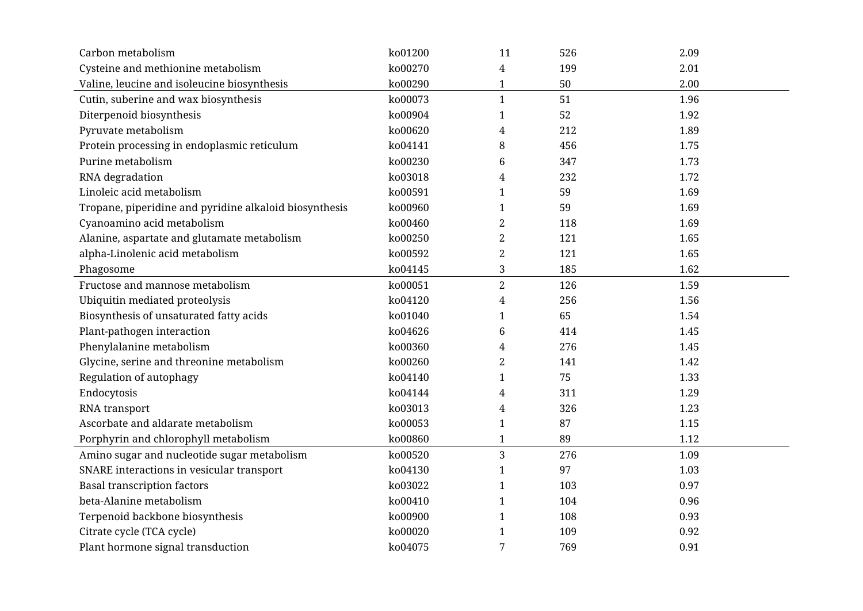| Carbon metabolism                                      | ko01200 | 11               | 526    | 2.09 |
|--------------------------------------------------------|---------|------------------|--------|------|
| Cysteine and methionine metabolism                     | ko00270 | 4                | 199    | 2.01 |
| Valine, leucine and isoleucine biosynthesis            | ko00290 | $\mathbf{1}$     | $50\,$ | 2.00 |
| Cutin, suberine and wax biosynthesis                   | ko00073 | $\mathbf{1}$     | 51     | 1.96 |
| Diterpenoid biosynthesis                               | ko00904 | $\mathbf{1}$     | 52     | 1.92 |
| Pyruvate metabolism                                    | ko00620 | $\overline{4}$   | 212    | 1.89 |
| Protein processing in endoplasmic reticulum            | ko04141 | $\, 8$           | 456    | 1.75 |
| Purine metabolism                                      | ko00230 | $\,6\,$          | 347    | 1.73 |
| RNA degradation                                        | ko03018 | $\overline{4}$   | 232    | 1.72 |
| Linoleic acid metabolism                               | ko00591 | $\mathbf{1}$     | 59     | 1.69 |
| Tropane, piperidine and pyridine alkaloid biosynthesis | ko00960 | $\mathbf{1}$     | 59     | 1.69 |
| Cyanoamino acid metabolism                             | ko00460 | $\boldsymbol{2}$ | 118    | 1.69 |
| Alanine, aspartate and glutamate metabolism            | ko00250 | $\overline{2}$   | 121    | 1.65 |
| alpha-Linolenic acid metabolism                        | ko00592 | $\overline{2}$   | 121    | 1.65 |
| Phagosome                                              | ko04145 | $\sqrt{3}$       | 185    | 1.62 |
| Fructose and mannose metabolism                        | ko00051 | $\overline{2}$   | 126    | 1.59 |
| Ubiquitin mediated proteolysis                         | ko04120 | $\overline{4}$   | 256    | 1.56 |
| Biosynthesis of unsaturated fatty acids                | ko01040 | $\mathbf{1}$     | 65     | 1.54 |
| Plant-pathogen interaction                             | ko04626 | $\,6\,$          | 414    | 1.45 |
| Phenylalanine metabolism                               | ko00360 | $\overline{4}$   | 276    | 1.45 |
| Glycine, serine and threonine metabolism               | ko00260 | $\overline{2}$   | 141    | 1.42 |
| Regulation of autophagy                                | ko04140 | $\mathbf{1}$     | 75     | 1.33 |
| Endocytosis                                            | ko04144 | $\overline{4}$   | 311    | 1.29 |
| RNA transport                                          | ko03013 | $\overline{4}$   | 326    | 1.23 |
| Ascorbate and aldarate metabolism                      | ko00053 | $\mathbf{1}$     | 87     | 1.15 |
| Porphyrin and chlorophyll metabolism                   | ko00860 | $\mathbf{1}$     | 89     | 1.12 |
| Amino sugar and nucleotide sugar metabolism            | ko00520 | $\mathbf{3}$     | 276    | 1.09 |
| SNARE interactions in vesicular transport              | ko04130 | $\mathbf{1}$     | 97     | 1.03 |
| <b>Basal transcription factors</b>                     | ko03022 | $\mathbf{1}$     | 103    | 0.97 |
| beta-Alanine metabolism                                | ko00410 | $\mathbf{1}$     | 104    | 0.96 |
| Terpenoid backbone biosynthesis                        | ko00900 | $\mathbf{1}$     | 108    | 0.93 |
| Citrate cycle (TCA cycle)                              | ko00020 | $\mathbf{1}$     | 109    | 0.92 |
| Plant hormone signal transduction                      | ko04075 | 7                | 769    | 0.91 |